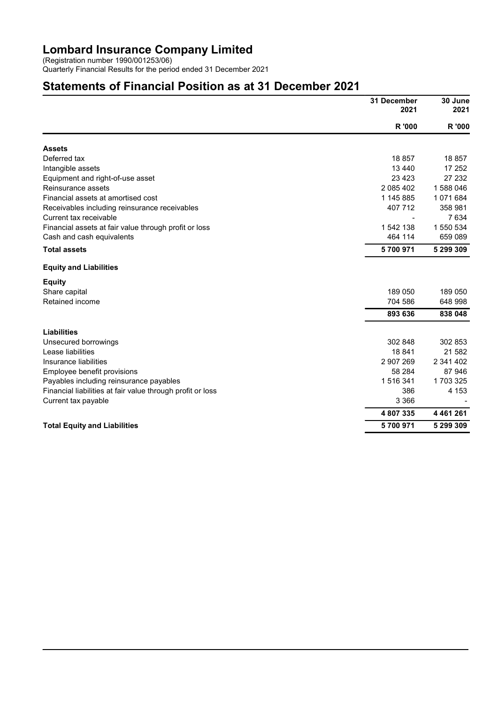#### Lombard Insurance Company Limited

(Registration number 1990/001253/06)

Quarterly Financial Results for the period ended 31 December 2021

# Statements of Financial Position as at 31 December 2021

|                                                            | 31 December<br>2021 | 30 June<br>2021<br>R '000 |  |
|------------------------------------------------------------|---------------------|---------------------------|--|
|                                                            | R '000              |                           |  |
| <b>Assets</b>                                              |                     |                           |  |
| Deferred tax                                               | 18857               | 18 857                    |  |
| Intangible assets                                          | 13 4 4 0            | 17 252                    |  |
| Equipment and right-of-use asset                           | 23 4 23             | 27 232                    |  |
| Reinsurance assets                                         | 2 085 402           | 1588046                   |  |
| Financial assets at amortised cost                         | 1 145 885           | 1071684                   |  |
| Receivables including reinsurance receivables              | 407 712             | 358 981                   |  |
| Current tax receivable                                     |                     | 7634                      |  |
| Financial assets at fair value through profit or loss      | 1 542 138           | 1 550 534                 |  |
| Cash and cash equivalents                                  | 464 114             | 659 089                   |  |
| <b>Total assets</b>                                        | 5700971             | 5 299 309                 |  |
| <b>Equity and Liabilities</b>                              |                     |                           |  |
| <b>Equity</b>                                              |                     |                           |  |
| Share capital                                              | 189 050             | 189 050                   |  |
| Retained income                                            | 704 586             | 648 998                   |  |
|                                                            | 893 636             | 838 048                   |  |
| <b>Liabilities</b>                                         |                     |                           |  |
| Unsecured borrowings                                       | 302 848             | 302 853                   |  |
| Lease liabilities                                          | 18841               | 21 582                    |  |
| Insurance liabilities                                      | 2 907 269           | 2 341 402                 |  |
| Employee benefit provisions                                | 58 284              | 87 946                    |  |
| Payables including reinsurance payables                    | 1516341             | 1 703 325                 |  |
| Financial liabilities at fair value through profit or loss | 386                 | 4 1 5 3                   |  |
| Current tax payable                                        | 3 3 6 6             |                           |  |
|                                                            | 4807335             | 4 4 6 1 2 6 1             |  |
| <b>Total Equity and Liabilities</b>                        | 5700971             | 5 299 309                 |  |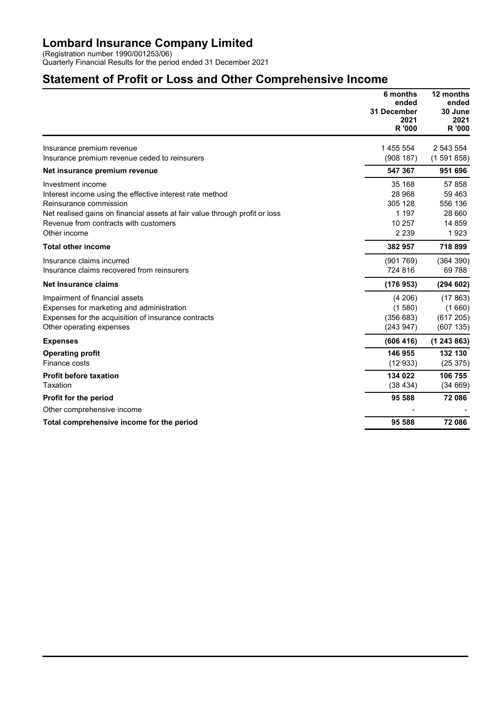### Lombard Insurance Company Limited

(Registration number 1990/001253/06) Quarterly Financial Results for the period ended 31 December 2021

## Statement of Profit or Loss and Other Comprehensive Income

|                                                                             | 6 months<br>ended<br>31 December<br>2021<br>R '000 | 12 months<br>ended<br>30 June<br>2021<br>R '000 |
|-----------------------------------------------------------------------------|----------------------------------------------------|-------------------------------------------------|
| Insurance premium revenue                                                   | 1 455 554                                          | 2 543 554                                       |
| Insurance premium revenue ceded to reinsurers                               | (908187)                                           | (1591858)                                       |
| Net insurance premium revenue                                               | 547 367                                            | 951 696                                         |
| Investment income                                                           | 35 168                                             | 57 858                                          |
| Interest income using the effective interest rate method                    | 28 968                                             | 59 4 63                                         |
| Reinsurance commission                                                      | 305 128                                            | 556 136                                         |
| Net realised gains on financial assets at fair value through profit or loss | 1 1 9 7                                            | 28 660                                          |
| Revenue from contracts with customers                                       | 10 257                                             | 14 8 59                                         |
| Other income                                                                | 2 2 3 9                                            | 1923                                            |
| <b>Total other income</b>                                                   | 382 957                                            | 718 899                                         |
| Insurance claims incurred                                                   | (901769)                                           | (364 390)                                       |
| Insurance claims recovered from reinsurers                                  | 724 816                                            | 69 788                                          |
| <b>Net Insurance claims</b>                                                 | (176953)                                           | (294602)                                        |
| Impairment of financial assets                                              | (4206)                                             | (17863)                                         |
| Expenses for marketing and administration                                   | (1580)                                             | (1660)                                          |
| Expenses for the acquisition of insurance contracts                         | (356683)                                           | (617205)                                        |
| Other operating expenses                                                    | (243947)                                           | (607135)                                        |
| <b>Expenses</b>                                                             | (606 416)                                          | (1243863)                                       |
| <b>Operating profit</b>                                                     | 146 955                                            | 132 130                                         |
| Finance costs                                                               | (12933)                                            | (25375)                                         |
| <b>Profit before taxation</b>                                               | 134 022                                            | 106 755                                         |
| Taxation                                                                    | (38434)                                            | (34669)                                         |
| Profit for the period                                                       | 95 588                                             | 72 086                                          |
| Other comprehensive income                                                  |                                                    |                                                 |
| Total comprehensive income for the period                                   | 95 588                                             | 72 086                                          |
|                                                                             |                                                    |                                                 |